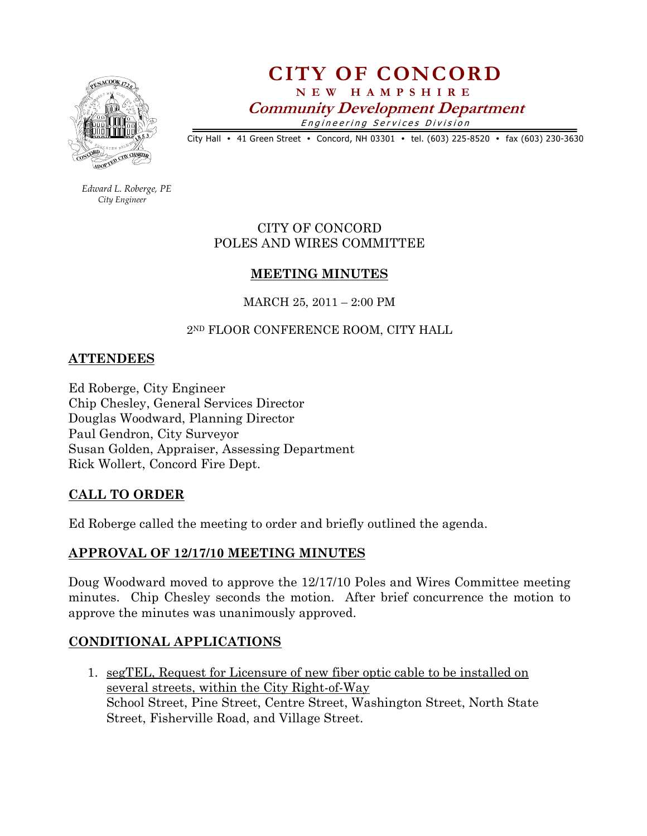

# CITY OF CONCORD N E W H A M P S H I R E Community Development Department Engineering Services Division

City Hall • 41 Green Street • Concord, NH 03301 • tel. (603) 225-8520 • fax (603) 230-3630

 Edward L. Roberge, PE City Engineer

## CITY OF CONCORD POLES AND WIRES COMMITTEE

#### MEETING MINUTES

MARCH 25, 2011 – 2:00 PM

#### 2ND FLOOR CONFERENCE ROOM, CITY HALL

#### **ATTENDEES**

Ed Roberge, City Engineer Chip Chesley, General Services Director Douglas Woodward, Planning Director Paul Gendron, City Surveyor Susan Golden, Appraiser, Assessing Department Rick Wollert, Concord Fire Dept.

### CALL TO ORDER

Ed Roberge called the meeting to order and briefly outlined the agenda.

### APPROVAL OF 12/17/10 MEETING MINUTES

Doug Woodward moved to approve the 12/17/10 Poles and Wires Committee meeting minutes. Chip Chesley seconds the motion. After brief concurrence the motion to approve the minutes was unanimously approved.

### CONDITIONAL APPLICATIONS

1. segTEL, Request for Licensure of new fiber optic cable to be installed on several streets, within the City Right-of-Way School Street, Pine Street, Centre Street, Washington Street, North State Street, Fisherville Road, and Village Street.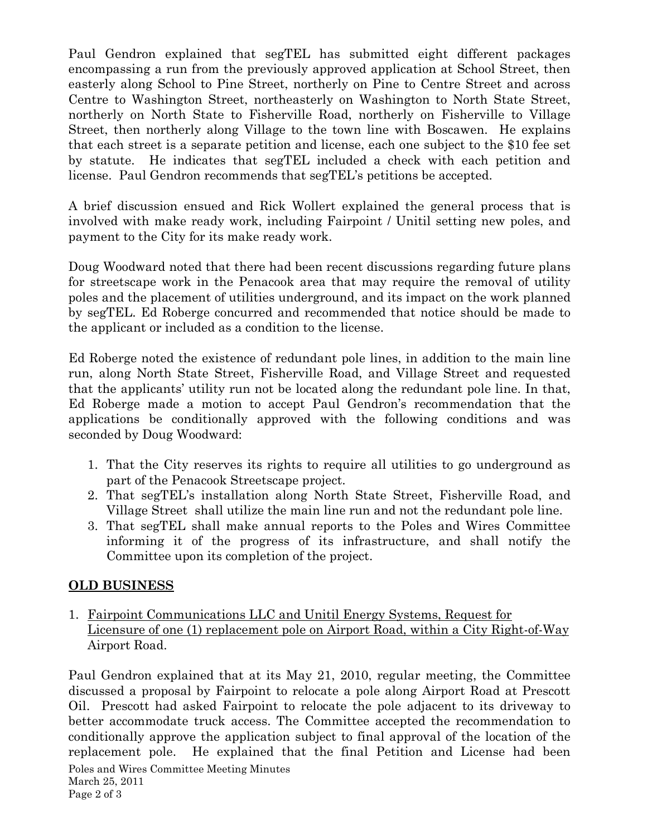Paul Gendron explained that segTEL has submitted eight different packages encompassing a run from the previously approved application at School Street, then easterly along School to Pine Street, northerly on Pine to Centre Street and across Centre to Washington Street, northeasterly on Washington to North State Street, northerly on North State to Fisherville Road, northerly on Fisherville to Village Street, then northerly along Village to the town line with Boscawen. He explains that each street is a separate petition and license, each one subject to the \$10 fee set by statute. He indicates that segTEL included a check with each petition and license. Paul Gendron recommends that segTEL's petitions be accepted.

A brief discussion ensued and Rick Wollert explained the general process that is involved with make ready work, including Fairpoint / Unitil setting new poles, and payment to the City for its make ready work.

Doug Woodward noted that there had been recent discussions regarding future plans for streetscape work in the Penacook area that may require the removal of utility poles and the placement of utilities underground, and its impact on the work planned by segTEL. Ed Roberge concurred and recommended that notice should be made to the applicant or included as a condition to the license.

Ed Roberge noted the existence of redundant pole lines, in addition to the main line run, along North State Street, Fisherville Road, and Village Street and requested that the applicants' utility run not be located along the redundant pole line. In that, Ed Roberge made a motion to accept Paul Gendron's recommendation that the applications be conditionally approved with the following conditions and was seconded by Doug Woodward:

- 1. That the City reserves its rights to require all utilities to go underground as part of the Penacook Streetscape project.
- 2. That segTEL's installation along North State Street, Fisherville Road, and Village Street shall utilize the main line run and not the redundant pole line.
- 3. That segTEL shall make annual reports to the Poles and Wires Committee informing it of the progress of its infrastructure, and shall notify the Committee upon its completion of the project.

### OLD BUSINESS

1. Fairpoint Communications LLC and Unitil Energy Systems, Request for Licensure of one (1) replacement pole on Airport Road, within a City Right-of-Way Airport Road.

Poles and Wires Committee Meeting Minutes March 25, 2011 Page 2 of 3 Paul Gendron explained that at its May 21, 2010, regular meeting, the Committee discussed a proposal by Fairpoint to relocate a pole along Airport Road at Prescott Oil. Prescott had asked Fairpoint to relocate the pole adjacent to its driveway to better accommodate truck access. The Committee accepted the recommendation to conditionally approve the application subject to final approval of the location of the replacement pole. He explained that the final Petition and License had been